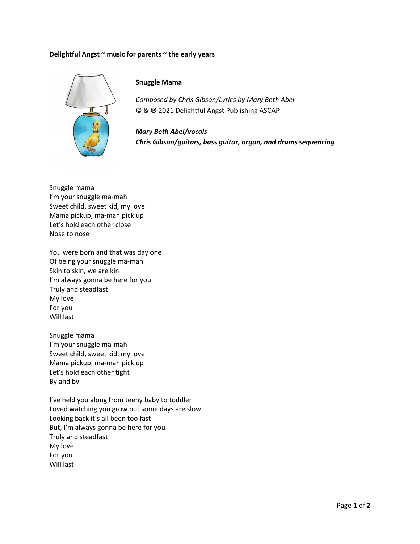## **Delightfu l Angst ~ mus sic for parent ts ~ the early y years**



## **Snuggle e Mama**

*Composed by Chris Gibson/Lyrics by Mary Beth Abel* © & @ 2021 Delightful Angst Publishing ASCAP

*Mary B Beth Abel/voc cals Chris G Gibson/guitar rs, bass guita ar, organ, and d drums sequ encing*  $Gibson/Iyrics\ by\ Mary\ Bet$ fful Angst Publishing ASCA<br>cals<br>s, bass guitar, organ, ana<br>w

Snuggle m mama I'm your snuggle ma-mah Sweet chi ld, sweet kid, , my love Mama pickup, ma-mah pick up Let's hold each other close Nose to n ose

You were born and that was day one Of being y your snuggle ma‐mah Skin to sk in, we are kin n I'm always gonna be here for you Truly and steadfast My love For you Will last

Snuggle m mama I'm your snuggle ma-mah Sweet chi ld, sweet kid, , my love Mama pickup, ma-mah pick up Let's hold each other tight By and by

By and by<br>I've held you along from teeny baby to toddler Loved watching you grow but some days are slow Looking b back it's all be en too fast But, I'm always gonna be here for you Truly and steadfast My love For you Will last